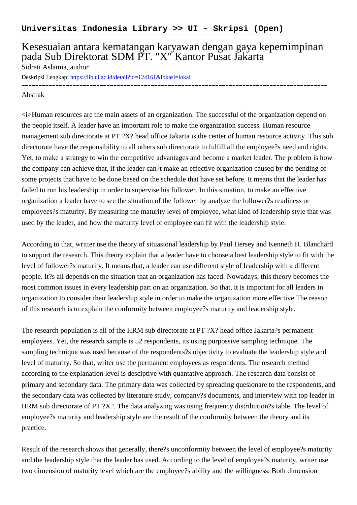## Kesesuaian antara kematangan karyawan dengan gaya kepemimpinan pada Sub Direktorat SDM PT. "X" Kantor Pusat Jakarta

Sidrati Aslamia, author

Deskripsi Lengkap:<https://lib.ui.ac.id/detail?id=124161&lokasi=lokal>

------------------------------------------------------------------------------------------

## Abstrak

<i>Human resources are the main assets of an organization. The successful of the organization depend on the people itself. A leader have an important role to make the organization success. Human resource management sub directorate at PT ?X? head office Jakarta is the center of human resource activity. This sub directorate have the responsibility to all others sub directorate to fulfill all the employee?s need and rights. Yet, to make a strategy to win the competitive advantages and become a market leader. The problem is how the company can achieve that, if the leader can?t make an effective organization caused by the pending of some projects that have to be done based on the schedule that have set before. It means that the leader has failed to run his leadership in order to supervise his follower. In this situation, to make an effective organization a leader have to see the situation of the follower by analyze the follower?s readiness or employees?s maturity. By measuring the maturity level of employee, what kind of leadership style that was used by the leader, and how the maturity level of employee can fit with the leadership style.

According to that, writter use the theory of situasional leadership by Paul Hersey and Kenneth H. Blanchard to support the research. This theory explain that a leader have to choose a best leadership style to fit with the level of follower?s maturity. It means that, a leader can use different style of leadership with a different people. It?s all depends on the situation that an organization has faced. Nowadays, this theory becomes the most common issues in every leadership part on an organization. So that, it is important for all leaders in organization to consider their leadership style in order to make the organization more effective.The reason of this research is to explain the conformity between employee?s maturity and leadership style.

The research population is all of the HRM sub directorate at PT ?X? head office Jakarta?s permanent employees. Yet, the research sample is 52 respondents, its using purpossive sampling technique. The sampling technique was used because of the respondents?s objectivity to evaluate the leadership style and level of maturity. So that, writer use the permanent employees as respondents. The research method according to the explanation level is desciptive with quantative approach. The research data consist of primary and secondary data. The primary data was collected by spreading quesionare to the respondents, and the secondary data was collected by literature study, company?s documents, and interview with top leader in HRM sub directorate of PT ?X?. The data analyzing was using frequency distribution?s table. The level of employee?s maturity and leadership style are the result of the conformity between the theory and its practice.

Result of the research shows that generally, there?s unconformity between the level of employee?s maturity and the leadership style that the leader has used. According to the level of employee?s maturity, writer use two dimension of maturity level which are the employee?s ability and the willingness. Both dimension